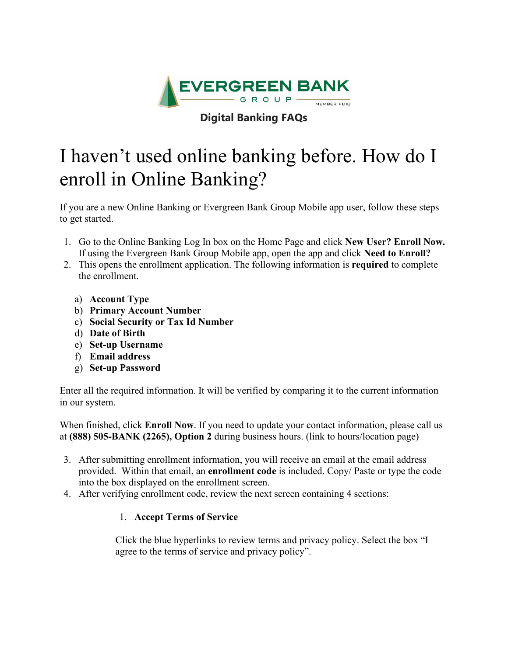

## **Digital Banking FAQs**

# I haven't used online banking before. How do I enroll in Online Banking?

If you are a new Online Banking or Evergreen Bank Group Mobile app user, follow these steps to get started.

- 1. Go to the Online Banking Log In box on the Home Page and click **New User? Enroll Now.** If using the Evergreen Bank Group Mobile app, open the app and click **Need to Enroll?**
- 2. This opens the enrollment application. The following information is **required** to complete the enrollment.
	- a) **Account Type**
	- b) **Primary Account Number**
	- c) **Social Security or Tax Id Number**
	- d) **Date of Birth**
	- e) **Set-up Username**
	- f) **Email address**
	- g) **Set-up Password**

Enter all the required information. It will be verified by comparing it to the current information in our system.

When finished, click **Enroll Now**. If you need to update your contact information, please call us at **(888) 505-BANK (2265), Option 2** during business hours. (link to hours/location page)

- 3. After submitting enrollment information, you will receive an email at the email address provided. Within that email, an **enrollment code** is included. Copy/ Paste or type the code into the box displayed on the enrollment screen.
- 4. After verifying enrollment code, review the next screen containing 4 sections:

### 1. **Accept Terms of Service**

Click the blue hyperlinks to review terms and privacy policy. Select the box "I agree to the terms of service and privacy policy".